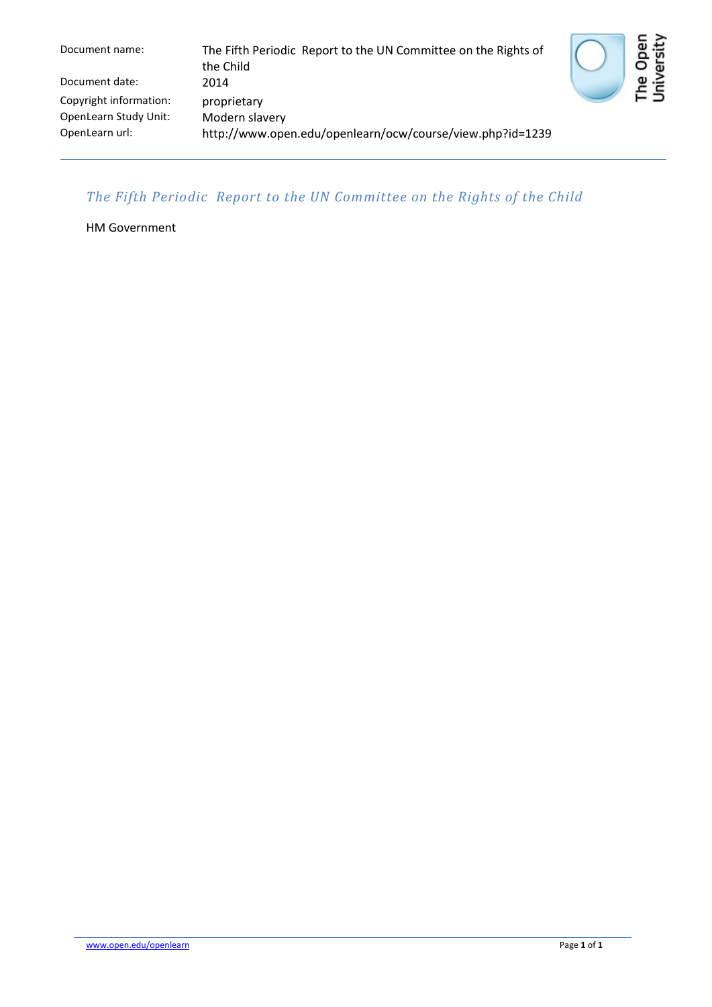Document name: The Fifth Periodic Report to the UN Committee on the Rights of the Child Document date: 2014 Copyright information: proprietary OpenLearn Study Unit: Modern slavery<br>OpenLearn url: http://www.ope http://www.open.edu/openlearn/ocw/course/view.php?id=1239



## *The Fifth Periodic Report to the UN Committee on the Rights of the Child*

HM Government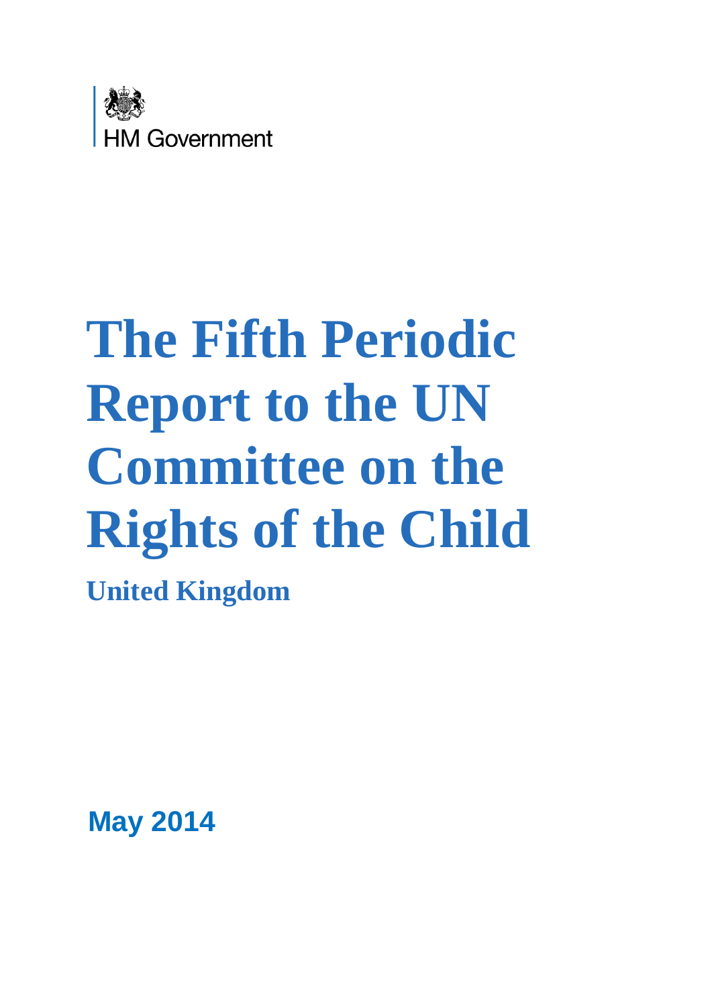

# **The Fifth Periodic Report to the UN Committee on the Rights of the Child**

**United Kingdom**

**May 2014**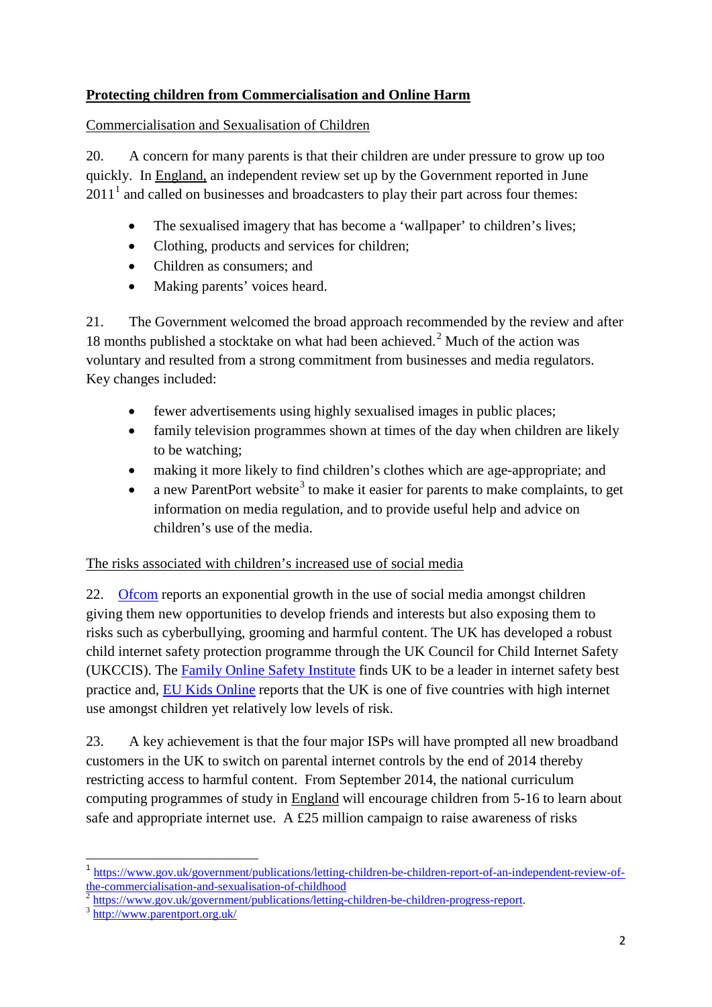# **Protecting children from Commercialisation and Online Harm**

#### Commercialisation and Sexualisation of Children

20. A concern for many parents is that their children are under pressure to grow up too quickly. In England, an independent review set up by the Government reported in June  $2011<sup>1</sup>$  $2011<sup>1</sup>$  $2011<sup>1</sup>$  and called on businesses and broadcasters to play their part across four themes:

- The sexualised imagery that has become a 'wallpaper' to children's lives;
- Clothing, products and services for children;
- Children as consumers; and
- Making parents' voices heard.

21. The Government welcomed the broad approach recommended by the review and after 18 months published a stocktake on what had been achieved.<sup>[2](#page-2-1)</sup> Much of the action was voluntary and resulted from a strong commitment from businesses and media regulators. Key changes included:

- fewer advertisements using highly sexualised images in public places;
- family television programmes shown at times of the day when children are likely to be watching;
- making it more likely to find children's clothes which are age-appropriate; and
- a new ParentPort website<sup>[3](#page-2-2)</sup> to make it easier for parents to make complaints, to get information on media regulation, and to provide useful help and advice on children's use of the media.

### The risks associated with children's increased use of social media

22. [Ofcom](http://stakeholders.ofcom.org.uk/market-data-research/media-literacy-pubs/) reports an exponential growth in the use of social media amongst children giving them new opportunities to develop friends and interests but also exposing them to risks such as cyberbullying, grooming and harmful content. The UK has developed a robust child internet safety protection programme through the UK Council for Child Internet Safety (UKCCIS). The [Family Online Safety Institute](http://www.fosi.org/) finds UK to be a leader in internet safety best practice and, [EU Kids Online](http://www.lse.ac.uk/media@lse/research/EUKidsOnline/EU%20Kids%20II%20(2009-11)/home.aspx) reports that the UK is one of five countries with high internet use amongst children yet relatively low levels of risk.

23. A key achievement is that the four major ISPs will have prompted all new broadband customers in the UK to switch on parental internet controls by the end of 2014 thereby restricting access to harmful content. From September 2014, the national curriculum computing programmes of study in England will encourage children from 5-16 to learn about safe and appropriate internet use. A £25 million campaign to raise awareness of risks

**.** 

<span id="page-2-0"></span><sup>&</sup>lt;sup>1</sup> https://www.gov.uk/government/publications/letting-children-be-children-report-of-an-independent-review-of-<br>the-commercialisation-and-sexualisation-of-childhood<br> $\frac{1}{2}$ 

<span id="page-2-1"></span> $\frac{2}{3}$  [https://www.gov.uk/government/publications/letting-children-be-children-progress-report.](https://www.gov.uk/government/publications/letting-children-be-children-progress-report)<br> $3$  <http://www.parentport.org.uk/>

<span id="page-2-2"></span>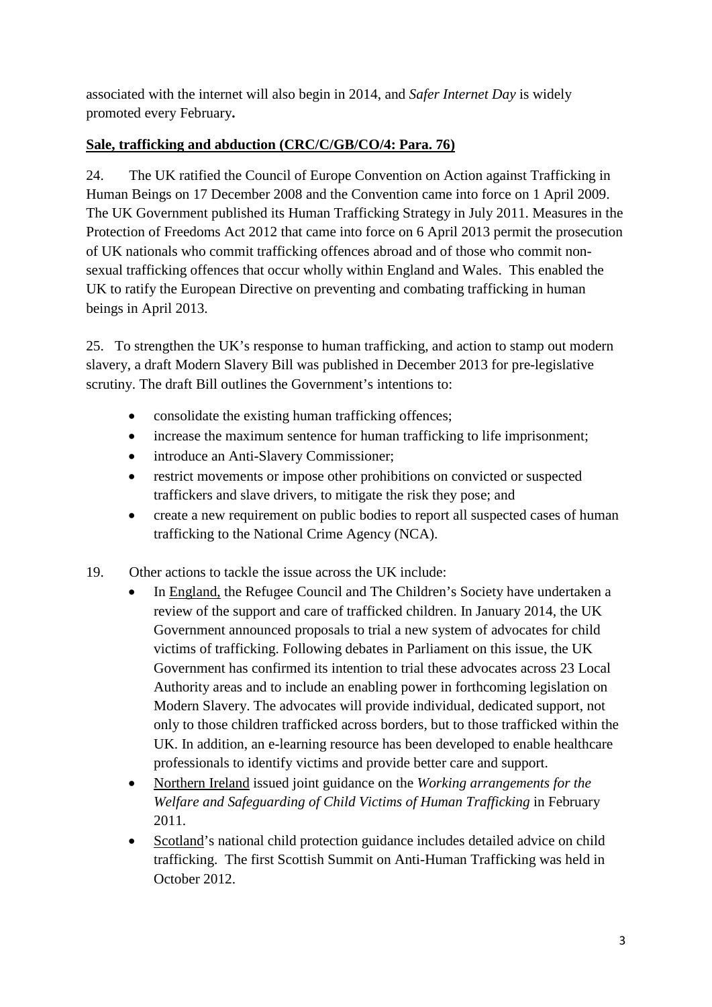associated with the internet will also begin in 2014, and *Safer Internet Day* is widely promoted every February**.**

# **Sale, trafficking and abduction (CRC/C/GB/CO/4: Para. 76)**

24. The UK ratified the Council of Europe Convention on Action against Trafficking in Human Beings on 17 December 2008 and the Convention came into force on 1 April 2009. The UK Government published its Human Trafficking Strategy in July 2011. Measures in the Protection of Freedoms Act 2012 that came into force on 6 April 2013 permit the prosecution of UK nationals who commit trafficking offences abroad and of those who commit nonsexual trafficking offences that occur wholly within England and Wales. This enabled the UK to ratify the European Directive on preventing and combating trafficking in human beings in April 2013.

25. To strengthen the UK's response to human trafficking, and action to stamp out modern slavery, a draft Modern Slavery Bill was published in December 2013 for pre-legislative scrutiny. The draft Bill outlines the Government's intentions to:

- consolidate the existing human trafficking offences;
- increase the maximum sentence for human trafficking to life imprisonment;
- introduce an Anti-Slavery Commissioner;
- restrict movements or impose other prohibitions on convicted or suspected traffickers and slave drivers, to mitigate the risk they pose; and
- create a new requirement on public bodies to report all suspected cases of human trafficking to the National Crime Agency (NCA).
- 19. Other actions to tackle the issue across the UK include:
	- In England, the Refugee Council and The Children's Society have undertaken a review of the support and care of trafficked children. In January 2014, the UK Government announced proposals to trial a new system of advocates for child victims of trafficking. Following debates in Parliament on this issue, the UK Government has confirmed its intention to trial these advocates across 23 Local Authority areas and to include an enabling power in forthcoming legislation on Modern Slavery. The advocates will provide individual, dedicated support, not only to those children trafficked across borders, but to those trafficked within the UK. In addition, an e-learning resource has been developed to enable healthcare professionals to identify victims and provide better care and support.
	- Northern Ireland issued joint guidance on the *Working arrangements for the Welfare and Safeguarding of Child Victims of Human Trafficking* in February 2011.
	- Scotland's national child protection guidance includes detailed advice on child trafficking. The first Scottish Summit on Anti-Human Trafficking was held in October 2012.